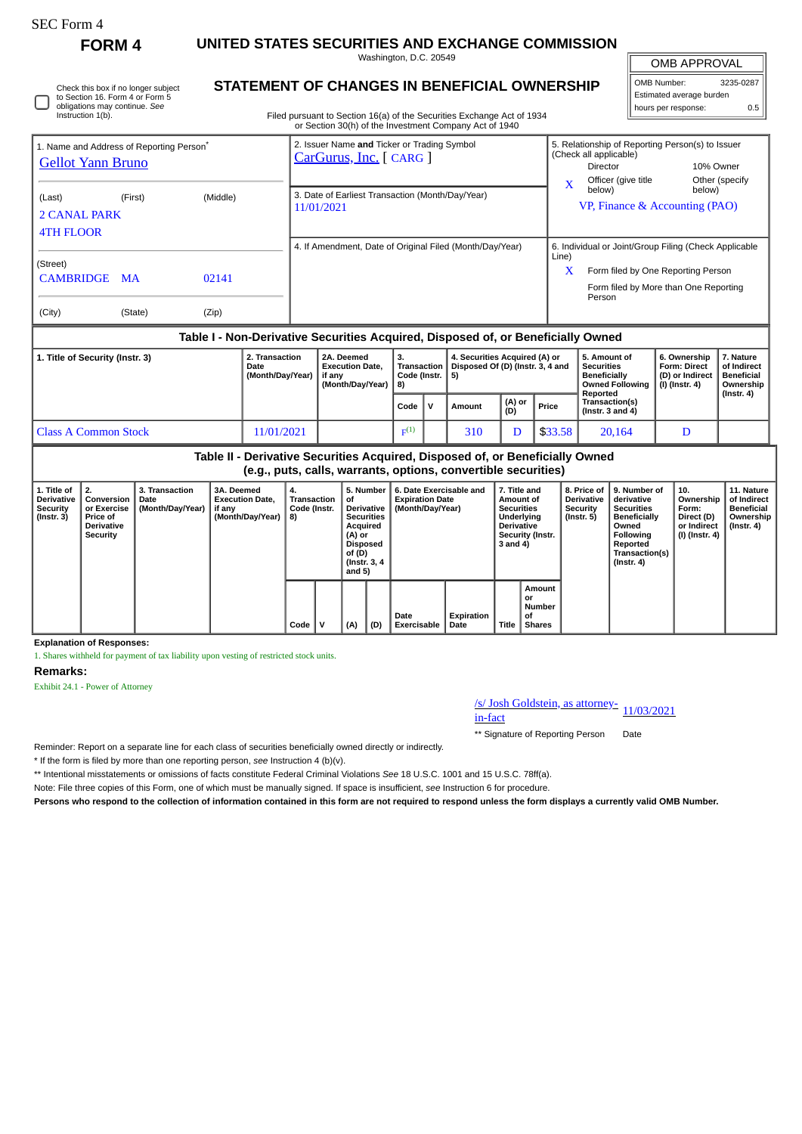# SEC Form 4

Instruction 1(b).

Check this box if no longer subject to Section 16. Form 4 or Form 5 obligations may continue. *See*

**FORM 4 UNITED STATES SECURITIES AND EXCHANGE COMMISSION** Washington, D.C. 20549

| <b>OMB APPROVAL</b>      |     |  |  |  |  |  |  |  |
|--------------------------|-----|--|--|--|--|--|--|--|
| OMB Number:<br>3235-0287 |     |  |  |  |  |  |  |  |
| Estimated average burden |     |  |  |  |  |  |  |  |
| hours per response:      | 0.5 |  |  |  |  |  |  |  |

|  | STATEMENT OF CHANGES IN BENEFICIAL OWNERSHIP |  |
|--|----------------------------------------------|--|
|--|----------------------------------------------|--|

Filed pursuant to Section 16(a) of the Securities Exchange Act of 1934 or Section 30(h) of the Investment Company Act of 1940

| 1. Name and Address of Reporting Person <sup>®</sup><br><b>Gellot Yann Bruno</b> | 2. Issuer Name and Ticker or Trading Symbol<br>CarGurus, Inc. [ CARG ] | 5. Relationship of Reporting Person(s) to Issuer<br>(Check all applicable)<br>10% Owner<br>Director<br>Officer (give title<br>Other (specify<br>X |
|----------------------------------------------------------------------------------|------------------------------------------------------------------------|---------------------------------------------------------------------------------------------------------------------------------------------------|
| (Middle)<br>(Last)<br>(First)<br>2 CANAL PARK<br><b>4TH FLOOR</b>                | 3. Date of Earliest Transaction (Month/Day/Year)<br>11/01/2021         | below)<br>below)<br>VP, Finance & Accounting (PAO)                                                                                                |
|                                                                                  | 4. If Amendment, Date of Original Filed (Month/Day/Year)               | 6. Individual or Joint/Group Filing (Check Applicable<br>Line)                                                                                    |
| (Street)<br><b>CAMBRIDGE</b><br>02141<br><b>MA</b>                               |                                                                        | $\mathbf x$<br>Form filed by One Reporting Person<br>Form filed by More than One Reporting<br>Person                                              |
| (City)<br>(Zip)<br>(State)                                                       |                                                                        |                                                                                                                                                   |

# **Table I - Non-Derivative Securities Acquired, Disposed of, or Beneficially Owned**

| 1. Title of Security (Instr. 3) | 2. Transaction<br>Date<br>(Month/Day/Year) | 2A. Deemed<br><b>Execution Date.</b><br>if anv<br>(Month/Dav/Year) | з.<br>Code (Instr. $  5$ )<br>-81 |  | 4. Securities Acquired (A) or<br>Transaction   Disposed Of (D) (Instr. 3, 4 and |               |         | 5. Amount of<br>Securities<br><b>Beneficially</b><br>Owned Following<br>Reported | 6. Ownership<br><b>Form: Direct</b><br>(D) or Indirect<br>(I) (Instr. 4) | . Nature<br>of Indirect<br><b>Beneficial</b><br>Ownership |
|---------------------------------|--------------------------------------------|--------------------------------------------------------------------|-----------------------------------|--|---------------------------------------------------------------------------------|---------------|---------|----------------------------------------------------------------------------------|--------------------------------------------------------------------------|-----------------------------------------------------------|
|                                 |                                            |                                                                    | Code                              |  | Amount                                                                          | (A) or<br>(D) | Price   | Transaction(s)<br>(Instr. $3$ and $4$ )                                          |                                                                          | (Instr. 4)                                                |
| Class A Common Stock            | 11/01/2021                                 |                                                                    | F <sub>F</sub> (1)                |  | 310                                                                             |               | \$33.58 | 20,164                                                                           |                                                                          |                                                           |

| Table II - Derivative Securities Acquired, Disposed of, or Beneficially Owned<br>(e.g., puts, calls, warrants, options, convertible securities) |                                                                                            |                                            |                                                                    |                                         |  |                                                                                                                                  |     |                                                                       |                    |                                                                                                                          |                                               |                                                                  |                                                                                                                                                |                                                                            |                                                                    |
|-------------------------------------------------------------------------------------------------------------------------------------------------|--------------------------------------------------------------------------------------------|--------------------------------------------|--------------------------------------------------------------------|-----------------------------------------|--|----------------------------------------------------------------------------------------------------------------------------------|-----|-----------------------------------------------------------------------|--------------------|--------------------------------------------------------------------------------------------------------------------------|-----------------------------------------------|------------------------------------------------------------------|------------------------------------------------------------------------------------------------------------------------------------------------|----------------------------------------------------------------------------|--------------------------------------------------------------------|
| 1. Title of<br><b>Derivative</b><br>Security<br>$($ Instr. 3 $)$                                                                                | 2.<br>Conversion<br>or Exercise<br><b>Price of</b><br><b>Derivative</b><br><b>Security</b> | 3. Transaction<br>Date<br>(Month/Day/Year) | 3A. Deemed<br><b>Execution Date.</b><br>if any<br>(Month/Day/Year) | 4.<br>Transaction<br>Code (Instr.<br>8) |  | 5. Number<br>οf<br><b>Derivative</b><br><b>Securities</b><br>Acquired<br>(A) or<br>Disposed<br>of (D)<br>(Instr. 3, 4)<br>and 5) |     | 6. Date Exercisable and<br><b>Expiration Date</b><br>(Month/Day/Year) |                    | 7. Title and<br>Amount of<br><b>Securities</b><br><b>Underlying</b><br><b>Derivative</b><br>Security (Instr.<br>3 and 4) |                                               | 8. Price of<br><b>Derivative</b><br>Security<br>$($ Instr. 5 $)$ | 9. Number of<br>derivative<br><b>Securities</b><br><b>Beneficially</b><br>Owned<br>Following<br>Reported<br>Transaction(s)<br>$($ Instr. 4 $)$ | 10.<br>Ownership<br>Form:<br>Direct (D)<br>or Indirect<br>  (I) (Instr. 4) | 11. Nature<br>of Indirect<br>Beneficial<br>Ownership<br>(Instr. 4) |
|                                                                                                                                                 |                                                                                            |                                            |                                                                    | Code                                    |  | (A)                                                                                                                              | (D) | Date<br><b>Exercisable</b>                                            | Expiration<br>Date | Title                                                                                                                    | Amount<br>or<br>Number<br>οf<br><b>Shares</b> |                                                                  |                                                                                                                                                |                                                                            |                                                                    |

**Explanation of Responses:**

1. Shares withheld for payment of tax liability upon vesting of restricted stock units.

### **Remarks:**

Exhibit 24.1 - Power of Attorney

# /s/ Josh Goldstein, as attorney-<br>in-fact

\*\* Signature of Reporting Person Date

Reminder: Report on a separate line for each class of securities beneficially owned directly or indirectly.

\* If the form is filed by more than one reporting person, *see* Instruction 4 (b)(v).

\*\* Intentional misstatements or omissions of facts constitute Federal Criminal Violations *See* 18 U.S.C. 1001 and 15 U.S.C. 78ff(a).

Note: File three copies of this Form, one of which must be manually signed. If space is insufficient, *see* Instruction 6 for procedure.

**Persons who respond to the collection of information contained in this form are not required to respond unless the form displays a currently valid OMB Number.**